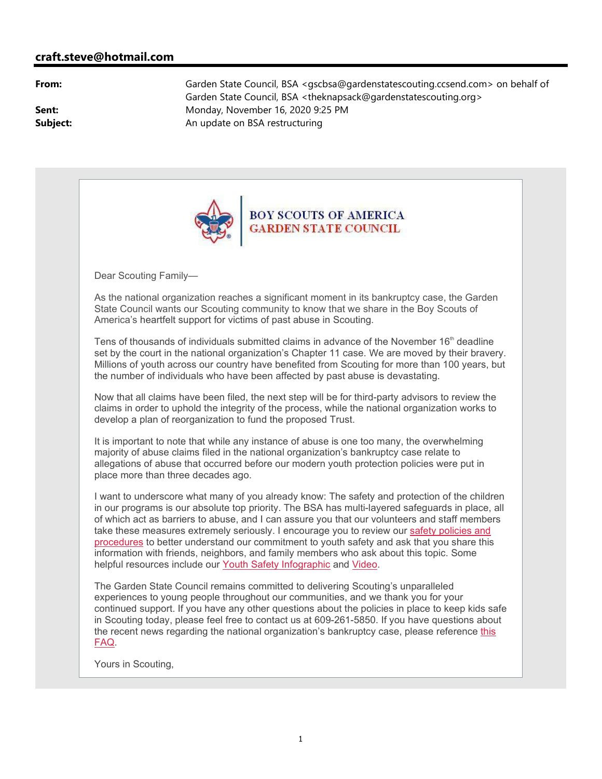## **craft.steve@hotmail.com**

**From:** Garden State Council, BSA <qscbsa@gardenstatescouting.ccsend.com> on behalf of Garden State Council, BSA <theknapsack@gardenstatescouting.org> **Sent:** Monday, November 16, 2020 9:25 PM **Subject:** An update on BSA restructuring



Dear Scouting Family—

As the national organization reaches a significant moment in its bankruptcy case, the Garden State Council wants our Scouting community to know that we share in the Boy Scouts of America's heartfelt support for victims of past abuse in Scouting.

Tens of thousands of individuals submitted claims in advance of the November  $16<sup>th</sup>$  deadline set by the court in the national organization's Chapter 11 case. We are moved by their bravery. Millions of youth across our country have benefited from Scouting for more than 100 years, but the number of individuals who have been affected by past abuse is devastating.

Now that all claims have been filed, the next step will be for third-party advisors to review the claims in order to uphold the integrity of the process, while the national organization works to develop a plan of reorganization to fund the proposed Trust.

It is important to note that while any instance of abuse is one too many, the overwhelming majority of abuse claims filed in the national organization's bankruptcy case relate to allegations of abuse that occurred before our modern youth protection policies were put in place more than three decades ago.

I want to underscore what many of you already know: The safety and protection of the children in our programs is our absolute top priority. The BSA has multi-layered safeguards in place, all of which act as barriers to abuse, and I can assure you that our volunteers and staff members take these measures extremely seriously. I encourage you to review our safety policies and procedures to better understand our commitment to youth safety and ask that you share this information with friends, neighbors, and family members who ask about this topic. Some helpful resources include our Youth Safety Infographic and Video.

The Garden State Council remains committed to delivering Scouting's unparalleled experiences to young people throughout our communities, and we thank you for your continued support. If you have any other questions about the policies in place to keep kids safe in Scouting today, please feel free to contact us at 609-261-5850. If you have questions about the recent news regarding the national organization's bankruptcy case, please reference this FAQ.

Yours in Scouting,